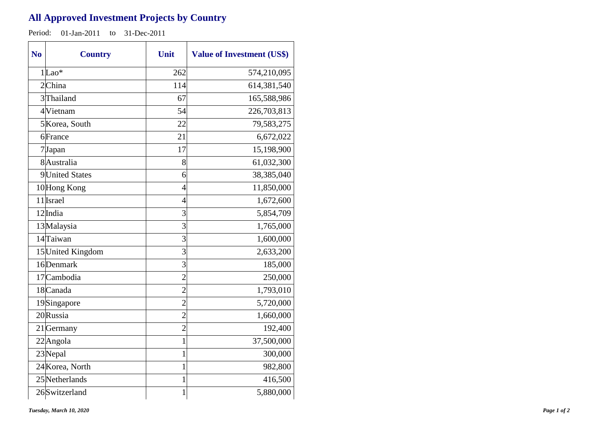## **All Approved Investment Projects by Country**

Period: 01-Jan-2011 to 31-Dec-2011

| N <sub>o</sub> | <b>Country</b>    | Unit           | <b>Value of Investment (US\$)</b> |
|----------------|-------------------|----------------|-----------------------------------|
|                | $1 $ Lao*         | 262            | 574,210,095                       |
|                | $2$ China         | 114            | 614,381,540                       |
|                | 3 Thailand        | 67             | 165,588,986                       |
|                | 4Vietnam          | 54             | 226,703,813                       |
|                | 5 Korea, South    | 22             | 79,583,275                        |
|                | 6France           | 21             | 6,672,022                         |
|                | 7Japan            | 17             | 15,198,900                        |
|                | 8Australia        | 8              | 61,032,300                        |
|                | 9United States    | 6              | 38,385,040                        |
|                | 10Hong Kong       | 4              | 11,850,000                        |
|                | 11 Israel         | $\overline{4}$ | 1,672,600                         |
|                | 12 India          | 3              | 5,854,709                         |
|                | 13 Malaysia       | 3              | 1,765,000                         |
|                | 14Taiwan          | 3              | 1,600,000                         |
|                | 15 United Kingdom | 3              | 2,633,200                         |
|                | 16Denmark         | 3              | 185,000                           |
|                | 17 Cambodia       | $\overline{2}$ | 250,000                           |
|                | 18 Canada         | $\overline{2}$ | 1,793,010                         |
|                | 19Singapore       | $\overline{2}$ | 5,720,000                         |
|                | 20 Russia         | $\overline{2}$ | 1,660,000                         |
|                | 21 Germany        | $\overline{2}$ | 192,400                           |
|                | $22$ Angola       | $\mathbf 1$    | 37,500,000                        |
|                | 23Nepal           | 1              | 300,000                           |
|                | 24 Korea, North   | 1              | 982,800                           |
|                | 25 Netherlands    | 1              | 416,500                           |
|                | 26Switzerland     | $\mathbf{1}$   | 5,880,000                         |